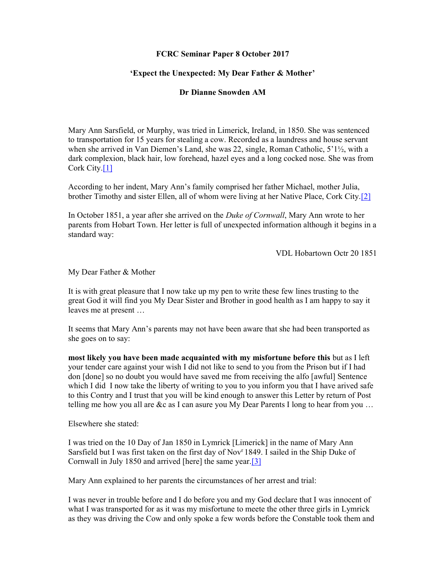## FCRC Seminar Paper 8 October 2017

## 'Expect the Unexpected: My Dear Father & Mother'

## Dr Dianne Snowden AM

Mary Ann Sarsfield, or Murphy, was tried in Limerick, Ireland, in 1850. She was sentenced to transportation for 15 years for stealing a cow. Recorded as a laundress and house servant when she arrived in Van Diemen's Land, she was 22, single, Roman Catholic, 5'1½, with a dark complexion, black hair, low forehead, hazel eyes and a long cocked nose. She was from Cork City.[1]

According to her indent, Mary Ann's family comprised her father Michael, mother Julia, brother Timothy and sister Ellen, all of whom were living at her Native Place, Cork City.[2]

In October 1851, a year after she arrived on the Duke of Cornwall, Mary Ann wrote to her parents from Hobart Town. Her letter is full of unexpected information although it begins in a standard way:

VDL Hobartown Octr 20 1851

My Dear Father & Mother

It is with great pleasure that I now take up my pen to write these few lines trusting to the great God it will find you My Dear Sister and Brother in good health as I am happy to say it leaves me at present …

It seems that Mary Ann's parents may not have been aware that she had been transported as she goes on to say:

most likely you have been made acquainted with my misfortune before this but as I left your tender care against your wish I did not like to send to you from the Prison but if I had don [done] so no doubt you would have saved me from receiving the alfo [awful] Sentence which I did I now take the liberty of writing to you to you inform you that I have arived safe to this Contry and I trust that you will be kind enough to answer this Letter by return of Post telling me how you all are &c as I can asure you My Dear Parents I long to hear from you …

Elsewhere she stated:

I was tried on the 10 Day of Jan 1850 in Lymrick [Limerick] in the name of Mary Ann Sarsfield but I was first taken on the first day of Nov<sup>r</sup> 1849. I sailed in the Ship Duke of Cornwall in July 1850 and arrived [here] the same year.[3]

Mary Ann explained to her parents the circumstances of her arrest and trial:

I was never in trouble before and I do before you and my God declare that I was innocent of what I was transported for as it was my misfortune to meete the other three girls in Lymrick as they was driving the Cow and only spoke a few words before the Constable took them and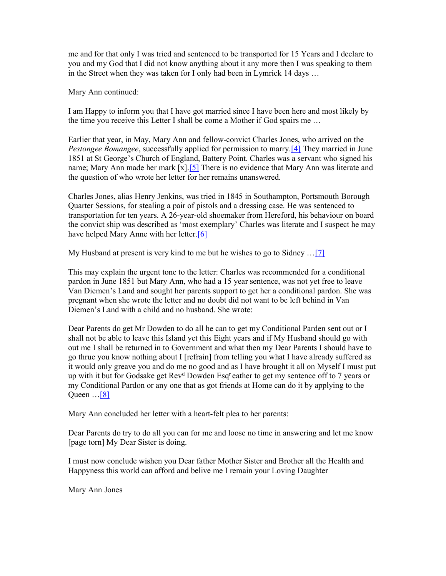me and for that only I was tried and sentenced to be transported for 15 Years and I declare to you and my God that I did not know anything about it any more then I was speaking to them in the Street when they was taken for I only had been in Lymrick 14 days …

Mary Ann continued:

I am Happy to inform you that I have got married since I have been here and most likely by the time you receive this Letter I shall be come a Mother if God spairs me …

Earlier that year, in May, Mary Ann and fellow-convict Charles Jones, who arrived on the Pestongee Bomangee, successfully applied for permission to marry.<sup>[4]</sup> They married in June 1851 at St George's Church of England, Battery Point. Charles was a servant who signed his name; Mary Ann made her mark [x].<sup>[5]</sup> There is no evidence that Mary Ann was literate and the question of who wrote her letter for her remains unanswered.

Charles Jones, alias Henry Jenkins, was tried in 1845 in Southampton, Portsmouth Borough Quarter Sessions, for stealing a pair of pistols and a dressing case. He was sentenced to transportation for ten years. A 26-year-old shoemaker from Hereford, his behaviour on board the convict ship was described as 'most exemplary' Charles was literate and I suspect he may have helped Mary Anne with her letter.<sup>[6]</sup>

My Husband at present is very kind to me but he wishes to go to Sidney …[7]

This may explain the urgent tone to the letter: Charles was recommended for a conditional pardon in June 1851 but Mary Ann, who had a 15 year sentence, was not yet free to leave Van Diemen's Land and sought her parents support to get her a conditional pardon. She was pregnant when she wrote the letter and no doubt did not want to be left behind in Van Diemen's Land with a child and no husband. She wrote:

Dear Parents do get Mr Dowden to do all he can to get my Conditional Parden sent out or I shall not be able to leave this Island yet this Eight years and if My Husband should go with out me I shall be returned in to Government and what then my Dear Parents I should have to go thrue you know nothing about I [refrain] from telling you what I have already suffered as it would only greave you and do me no good and as I have brought it all on Myself I must put up with it but for Godsake get Rev<sup>d</sup> Dowden Esq<sup>r</sup>eather to get my sentence off to 7 years or my Conditional Pardon or any one that as got friends at Home can do it by applying to the Queen  $\ldots$ [8]

Mary Ann concluded her letter with a heart-felt plea to her parents:

Dear Parents do try to do all you can for me and loose no time in answering and let me know [page torn] My Dear Sister is doing.

I must now conclude wishen you Dear father Mother Sister and Brother all the Health and Happyness this world can afford and belive me I remain your Loving Daughter

Mary Ann Jones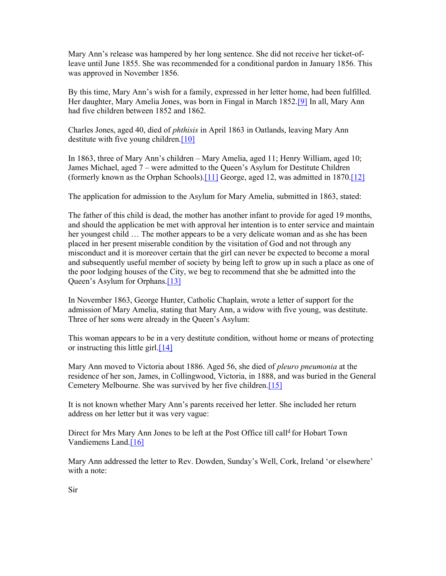Mary Ann's release was hampered by her long sentence. She did not receive her ticket-ofleave until June 1855. She was recommended for a conditional pardon in January 1856. This was approved in November 1856.

By this time, Mary Ann's wish for a family, expressed in her letter home, had been fulfilled. Her daughter, Mary Amelia Jones, was born in Fingal in March 1852.[9] In all, Mary Ann had five children between 1852 and 1862.

Charles Jones, aged 40, died of phthisis in April 1863 in Oatlands, leaving Mary Ann destitute with five young children.<sup>[10]</sup>

In 1863, three of Mary Ann's children – Mary Amelia, aged 11; Henry William, aged 10; James Michael, aged 7 – were admitted to the Queen's Asylum for Destitute Children (formerly known as the Orphan Schools).[11] George, aged 12, was admitted in 1870.[12]

The application for admission to the Asylum for Mary Amelia, submitted in 1863, stated:

The father of this child is dead, the mother has another infant to provide for aged 19 months, and should the application be met with approval her intention is to enter service and maintain her youngest child … The mother appears to be a very delicate woman and as she has been placed in her present miserable condition by the visitation of God and not through any misconduct and it is moreover certain that the girl can never be expected to become a moral and subsequently useful member of society by being left to grow up in such a place as one of the poor lodging houses of the City, we beg to recommend that she be admitted into the Queen's Asylum for Orphans.[13]

In November 1863, George Hunter, Catholic Chaplain, wrote a letter of support for the admission of Mary Amelia, stating that Mary Ann, a widow with five young, was destitute. Three of her sons were already in the Queen's Asylum:

This woman appears to be in a very destitute condition, without home or means of protecting or instructing this little girl. $[14]$ 

Mary Ann moved to Victoria about 1886. Aged 56, she died of *pleuro pneumonia* at the residence of her son, James, in Collingwood, Victoria, in 1888, and was buried in the General Cemetery Melbourne. She was survived by her five children.[15]

It is not known whether Mary Ann's parents received her letter. She included her return address on her letter but it was very vague:

Direct for Mrs Mary Ann Jones to be left at the Post Office till call<sup>d</sup> for Hobart Town Vandiemens Land.[16]

Mary Ann addressed the letter to Rev. Dowden, Sunday's Well, Cork, Ireland 'or elsewhere' with a note: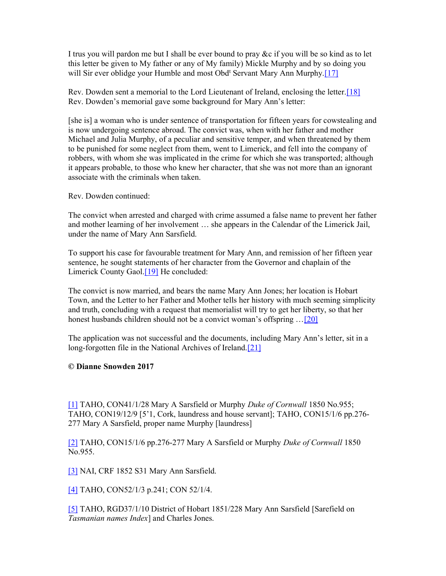I trus you will pardon me but I shall be ever bound to pray &c if you will be so kind as to let this letter be given to My father or any of My family) Mickle Murphy and by so doing you will Sir ever oblidge your Humble and most Obd<sup>t</sup> Servant Mary Ann Murphy.<sup>[17]</sup>

Rev. Dowden sent a memorial to the Lord Lieutenant of Ireland, enclosing the letter.[18] Rev. Dowden's memorial gave some background for Mary Ann's letter:

[she is] a woman who is under sentence of transportation for fifteen years for cowstealing and is now undergoing sentence abroad. The convict was, when with her father and mother Michael and Julia Murphy, of a peculiar and sensitive temper, and when threatened by them to be punished for some neglect from them, went to Limerick, and fell into the company of robbers, with whom she was implicated in the crime for which she was transported; although it appears probable, to those who knew her character, that she was not more than an ignorant associate with the criminals when taken.

Rev. Dowden continued:

The convict when arrested and charged with crime assumed a false name to prevent her father and mother learning of her involvement … she appears in the Calendar of the Limerick Jail, under the name of Mary Ann Sarsfield.

To support his case for favourable treatment for Mary Ann, and remission of her fifteen year sentence, he sought statements of her character from the Governor and chaplain of the Limerick County Gaol.[19] He concluded:

The convict is now married, and bears the name Mary Ann Jones; her location is Hobart Town, and the Letter to her Father and Mother tells her history with much seeming simplicity and truth, concluding with a request that memorialist will try to get her liberty, so that her honest husbands children should not be a convict woman's offspring ... [20]

The application was not successful and the documents, including Mary Ann's letter, sit in a long-forgotten file in the National Archives of Ireland.<sup>[21]</sup>

© Dianne Snowden 2017

[1] TAHO, CON41/1/28 Mary A Sarsfield or Murphy Duke of Cornwall 1850 No.955; TAHO, CON19/12/9 [5'1, Cork, laundress and house servant]; TAHO, CON15/1/6 pp.276- 277 Mary A Sarsfield, proper name Murphy [laundress]

[2] TAHO, CON15/1/6 pp.276-277 Mary A Sarsfield or Murphy Duke of Cornwall 1850 No.955.

[3] NAI, CRF 1852 S31 Mary Ann Sarsfield.

[4] TAHO, CON52/1/3 p.241; CON 52/1/4.

[5] TAHO, RGD37/1/10 District of Hobart 1851/228 Mary Ann Sarsfield [Sarefield on Tasmanian names Index] and Charles Jones.